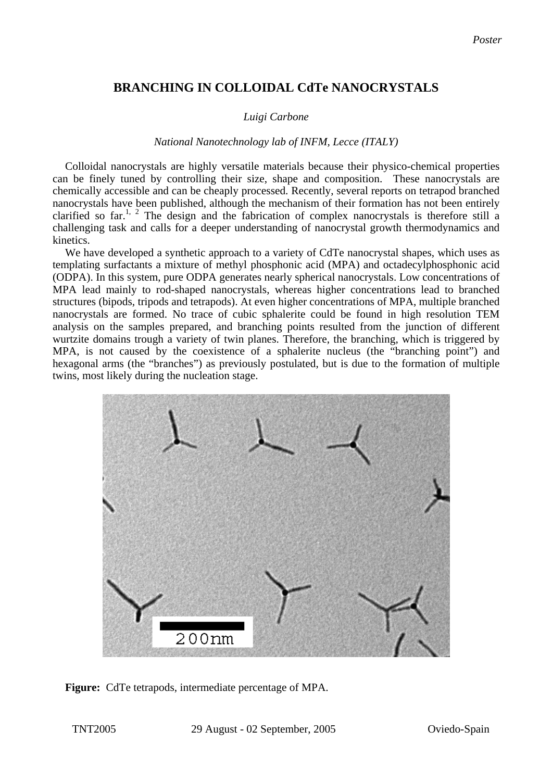## **BRANCHING IN COLLOIDAL CdTe NANOCRYSTALS**

## *Luigi Carbone*

## *National Nanotechnology lab of INFM, Lecce (ITALY)*

Colloidal nanocrystals are highly versatile materials because their physico-chemical properties can be finely tuned by controlling their size, shape and composition. These nanocrystals are chemically accessible and can be cheaply processed. Recently, several reports on tetrapod branched nanocrystals have been published, although the mechanism of their formation has not been entirely clarified so far.<sup>1, 2</sup> The design and the fabrication of complex nanocrystals is therefore still a challenging task and calls for a deeper understanding of nanocrystal growth thermodynamics and kinetics.

We have developed a synthetic approach to a variety of CdTe nanocrystal shapes, which uses as templating surfactants a mixture of methyl phosphonic acid (MPA) and octadecylphosphonic acid (ODPA). In this system, pure ODPA generates nearly spherical nanocrystals. Low concentrations of MPA lead mainly to rod-shaped nanocrystals, whereas higher concentrations lead to branched structures (bipods, tripods and tetrapods). At even higher concentrations of MPA, multiple branched nanocrystals are formed. No trace of cubic sphalerite could be found in high resolution TEM analysis on the samples prepared, and branching points resulted from the junction of different wurtzite domains trough a variety of twin planes. Therefore, the branching, which is triggered by MPA, is not caused by the coexistence of a sphalerite nucleus (the "branching point") and hexagonal arms (the "branches") as previously postulated, but is due to the formation of multiple twins, most likely during the nucleation stage.



Figure: CdTe tetrapods, intermediate percentage of MPA.